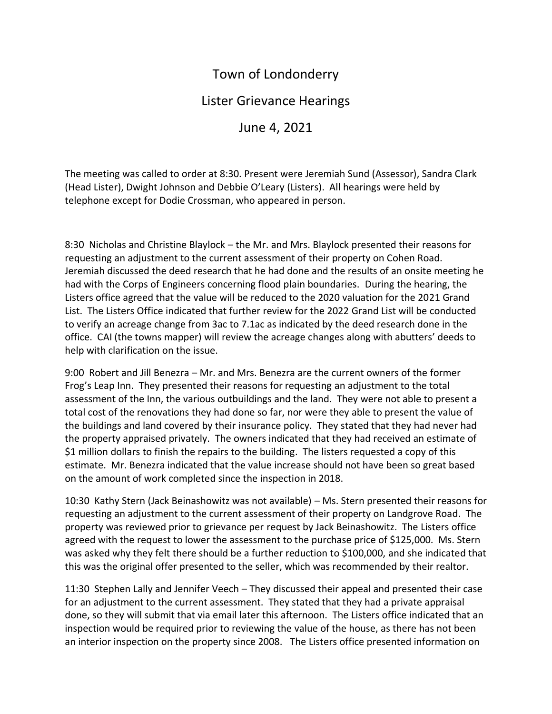## Town of Londonderry

## Lister Grievance Hearings

June 4, 2021

The meeting was called to order at 8:30. Present were Jeremiah Sund (Assessor), Sandra Clark (Head Lister), Dwight Johnson and Debbie O'Leary (Listers). All hearings were held by telephone except for Dodie Crossman, who appeared in person.

8:30 Nicholas and Christine Blaylock – the Mr. and Mrs. Blaylock presented their reasons for requesting an adjustment to the current assessment of their property on Cohen Road. Jeremiah discussed the deed research that he had done and the results of an onsite meeting he had with the Corps of Engineers concerning flood plain boundaries. During the hearing, the Listers office agreed that the value will be reduced to the 2020 valuation for the 2021 Grand List. The Listers Office indicated that further review for the 2022 Grand List will be conducted to verify an acreage change from 3ac to 7.1ac as indicated by the deed research done in the office. CAI (the towns mapper) will review the acreage changes along with abutters' deeds to help with clarification on the issue.

9:00 Robert and Jill Benezra – Mr. and Mrs. Benezra are the current owners of the former Frog's Leap Inn. They presented their reasons for requesting an adjustment to the total assessment of the Inn, the various outbuildings and the land. They were not able to present a total cost of the renovations they had done so far, nor were they able to present the value of the buildings and land covered by their insurance policy. They stated that they had never had the property appraised privately. The owners indicated that they had received an estimate of \$1 million dollars to finish the repairs to the building. The listers requested a copy of this estimate. Mr. Benezra indicated that the value increase should not have been so great based on the amount of work completed since the inspection in 2018.

10:30 Kathy Stern (Jack Beinashowitz was not available) – Ms. Stern presented their reasons for requesting an adjustment to the current assessment of their property on Landgrove Road. The property was reviewed prior to grievance per request by Jack Beinashowitz. The Listers office agreed with the request to lower the assessment to the purchase price of \$125,000. Ms. Stern was asked why they felt there should be a further reduction to \$100,000, and she indicated that this was the original offer presented to the seller, which was recommended by their realtor.

11:30 Stephen Lally and Jennifer Veech – They discussed their appeal and presented their case for an adjustment to the current assessment. They stated that they had a private appraisal done, so they will submit that via email later this afternoon. The Listers office indicated that an inspection would be required prior to reviewing the value of the house, as there has not been an interior inspection on the property since 2008. The Listers office presented information on